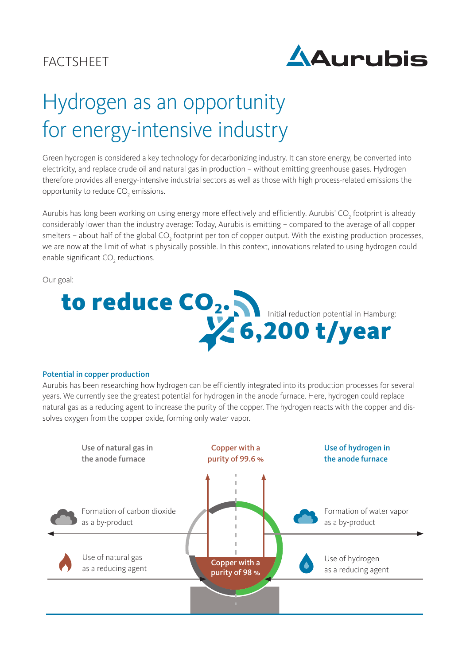## **FACTSHEET**



# Hydrogen as an opportunity for energy-intensive industry

Green hydrogen is considered a key technology for decarbonizing industry. It can store energy, be converted into electricity, and replace crude oil and natural gas in production – without emitting greenhouse gases. Hydrogen therefore provides all energy-intensive industrial sectors as well as those with high process-related emissions the opportunity to reduce  $\text{CO}_2$  emissions.

Aurubis has long been working on using energy more effectively and efficiently. Aurubis' CO<sub>2</sub> footprint is already considerably lower than the industry average: Today, Aurubis is emitting – compared to the average of all copper smelters – about half of the global CO<sub>2</sub> footprint per ton of copper output. With the existing production processes, we are now at the limit of what is physically possible. In this context, innovations related to using hydrogen could enable significant  $\mathsf{CO}_2$  reductions.

Our goal:



#### Potential in copper production

Aurubis has been researching how hydrogen can be efficiently integrated into its production processes for several years. We currently see the greatest potential for hydrogen in the anode furnace. Here, hydrogen could replace natural gas as a reducing agent to increase the purity of the copper. The hydrogen reacts with the copper and dissolves oxygen from the copper oxide, forming only water vapor.